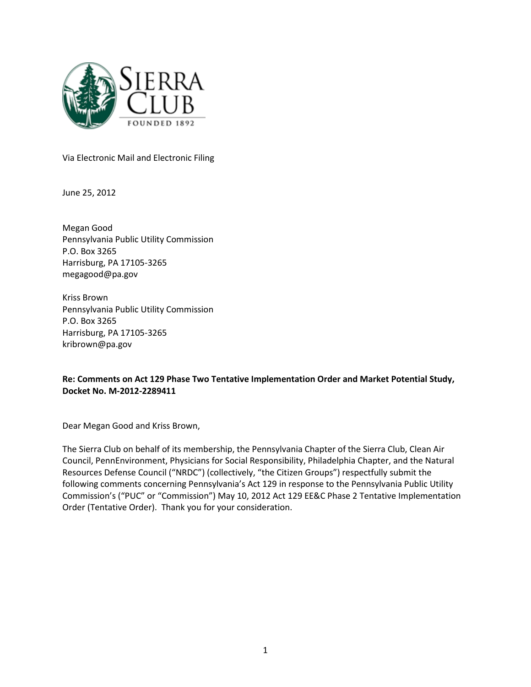

Via Electronic Mail and Electronic Filing

June 25, 2012

Megan Good Pennsylvania Public Utility Commission P.O. Box 3265 Harrisburg, PA 17105-3265 megagood@pa.gov

Kriss Brown Pennsylvania Public Utility Commission P.O. Box 3265 Harrisburg, PA 17105-3265 kribrown@pa.gov

## Re: Comments on Act 129 Phase Two Tentative Implementation Order and Market Potential Study, Docket No. M-2012-2289411

Dear Megan Good and Kriss Brown,

The Sierra Club on behalf of its membership, the Pennsylvania Chapter of the Sierra Club, Clean Air Council, PennEnvironment, Physicians for Social Responsibility, Philadelphia Chapter, and the Natural Resources Defense Council ("NRDC") (collectively, "the Citizen Groups") respectfully submit the following comments concerning Pennsylvania's Act 129 in response to the Pennsylvania Public Utility Commission's ("PUC" or "Commission") May 10, 2012 Act 129 EE&C Phase 2 Tentative Implementation Order (Tentative Order). Thank you for your consideration.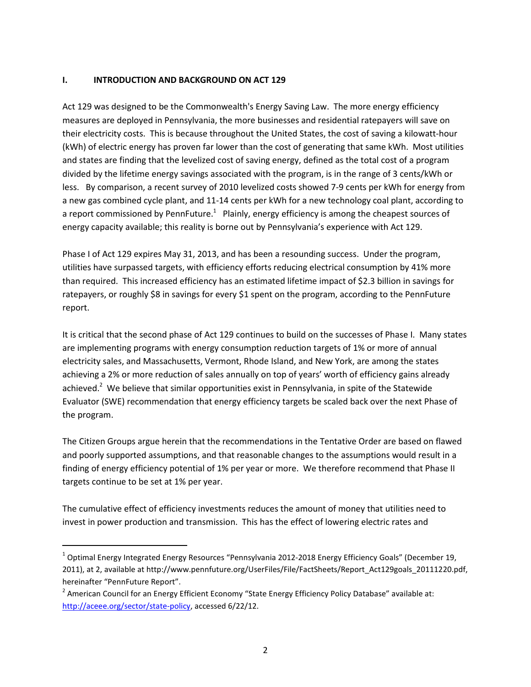### I. INTRODUCTION AND BACKGROUND ON ACT 129

Act 129 was designed to be the Commonwealth's Energy Saving Law. The more energy efficiency measures are deployed in Pennsylvania, the more businesses and residential ratepayers will save on their electricity costs. This is because throughout the United States, the cost of saving a kilowatt-hour (kWh) of electric energy has proven far lower than the cost of generating that same kWh. Most utilities and states are finding that the levelized cost of saving energy, defined as the total cost of a program divided by the lifetime energy savings associated with the program, is in the range of 3 cents/kWh or less. By comparison, a recent survey of 2010 levelized costs showed 7-9 cents per kWh for energy from a new gas combined cycle plant, and 11-14 cents per kWh for a new technology coal plant, according to a report commissioned by PennFuture.<sup>1</sup> Plainly, energy efficiency is among the cheapest sources of energy capacity available; this reality is borne out by Pennsylvania's experience with Act 129.

Phase I of Act 129 expires May 31, 2013, and has been a resounding success. Under the program, utilities have surpassed targets, with efficiency efforts reducing electrical consumption by 41% more than required. This increased efficiency has an estimated lifetime impact of \$2.3 billion in savings for ratepayers, or roughly \$8 in savings for every \$1 spent on the program, according to the PennFuture report.

It is critical that the second phase of Act 129 continues to build on the successes of Phase I. Many states are implementing programs with energy consumption reduction targets of 1% or more of annual electricity sales, and Massachusetts, Vermont, Rhode Island, and New York, are among the states achieving a 2% or more reduction of sales annually on top of years' worth of efficiency gains already achieved.<sup>2</sup> We believe that similar opportunities exist in Pennsylvania, in spite of the Statewide Evaluator (SWE) recommendation that energy efficiency targets be scaled back over the next Phase of the program.

The Citizen Groups argue herein that the recommendations in the Tentative Order are based on flawed and poorly supported assumptions, and that reasonable changes to the assumptions would result in a finding of energy efficiency potential of 1% per year or more. We therefore recommend that Phase II targets continue to be set at 1% per year.

The cumulative effect of efficiency investments reduces the amount of money that utilities need to invest in power production and transmission. This has the effect of lowering electric rates and

l

 $^1$  Optimal Energy Integrated Energy Resources "Pennsylvania 2012-2018 Energy Efficiency Goals" (December 19, 2011), at 2, available at http://www.pennfuture.org/UserFiles/File/FactSheets/Report\_Act129goals\_20111220.pdf, hereinafter "PennFuture Report".

<sup>&</sup>lt;sup>2</sup> American Council for an Energy Efficient Economy "State Energy Efficiency Policy Database" available at: http://aceee.org/sector/state-policy, accessed 6/22/12.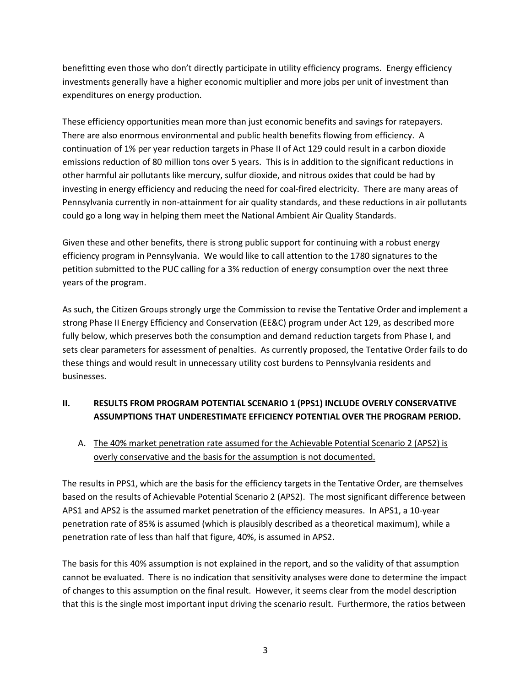benefitting even those who don't directly participate in utility efficiency programs. Energy efficiency investments generally have a higher economic multiplier and more jobs per unit of investment than expenditures on energy production.

These efficiency opportunities mean more than just economic benefits and savings for ratepayers. There are also enormous environmental and public health benefits flowing from efficiency. A continuation of 1% per year reduction targets in Phase II of Act 129 could result in a carbon dioxide emissions reduction of 80 million tons over 5 years. This is in addition to the significant reductions in other harmful air pollutants like mercury, sulfur dioxide, and nitrous oxides that could be had by investing in energy efficiency and reducing the need for coal-fired electricity. There are many areas of Pennsylvania currently in non-attainment for air quality standards, and these reductions in air pollutants could go a long way in helping them meet the National Ambient Air Quality Standards.

Given these and other benefits, there is strong public support for continuing with a robust energy efficiency program in Pennsylvania. We would like to call attention to the 1780 signatures to the petition submitted to the PUC calling for a 3% reduction of energy consumption over the next three years of the program.

As such, the Citizen Groups strongly urge the Commission to revise the Tentative Order and implement a strong Phase II Energy Efficiency and Conservation (EE&C) program under Act 129, as described more fully below, which preserves both the consumption and demand reduction targets from Phase I, and sets clear parameters for assessment of penalties. As currently proposed, the Tentative Order fails to do these things and would result in unnecessary utility cost burdens to Pennsylvania residents and businesses.

# II. RESULTS FROM PROGRAM POTENTIAL SCENARIO 1 (PPS1) INCLUDE OVERLY CONSERVATIVE ASSUMPTIONS THAT UNDERESTIMATE EFFICIENCY POTENTIAL OVER THE PROGRAM PERIOD.

A. The 40% market penetration rate assumed for the Achievable Potential Scenario 2 (APS2) is overly conservative and the basis for the assumption is not documented.

The results in PPS1, which are the basis for the efficiency targets in the Tentative Order, are themselves based on the results of Achievable Potential Scenario 2 (APS2). The most significant difference between APS1 and APS2 is the assumed market penetration of the efficiency measures. In APS1, a 10-year penetration rate of 85% is assumed (which is plausibly described as a theoretical maximum), while a penetration rate of less than half that figure, 40%, is assumed in APS2.

The basis for this 40% assumption is not explained in the report, and so the validity of that assumption cannot be evaluated. There is no indication that sensitivity analyses were done to determine the impact of changes to this assumption on the final result. However, it seems clear from the model description that this is the single most important input driving the scenario result. Furthermore, the ratios between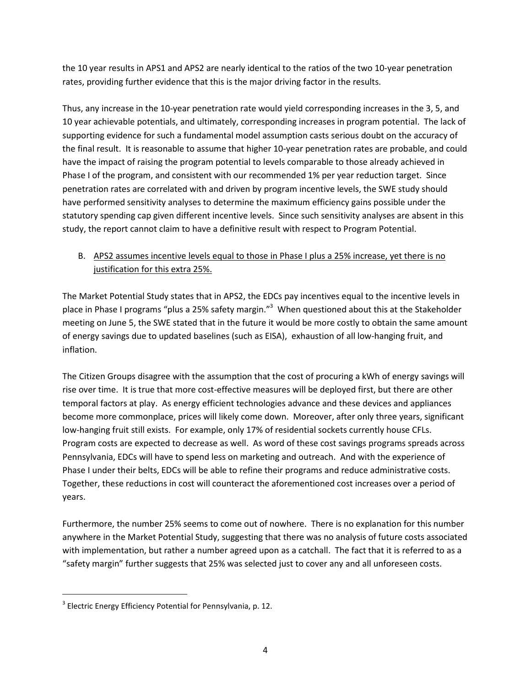the 10 year results in APS1 and APS2 are nearly identical to the ratios of the two 10-year penetration rates, providing further evidence that this is the major driving factor in the results.

Thus, any increase in the 10-year penetration rate would yield corresponding increases in the 3, 5, and 10 year achievable potentials, and ultimately, corresponding increases in program potential. The lack of supporting evidence for such a fundamental model assumption casts serious doubt on the accuracy of the final result. It is reasonable to assume that higher 10-year penetration rates are probable, and could have the impact of raising the program potential to levels comparable to those already achieved in Phase I of the program, and consistent with our recommended 1% per year reduction target. Since penetration rates are correlated with and driven by program incentive levels, the SWE study should have performed sensitivity analyses to determine the maximum efficiency gains possible under the statutory spending cap given different incentive levels. Since such sensitivity analyses are absent in this study, the report cannot claim to have a definitive result with respect to Program Potential.

# B. APS2 assumes incentive levels equal to those in Phase I plus a 25% increase, yet there is no justification for this extra 25%.

The Market Potential Study states that in APS2, the EDCs pay incentives equal to the incentive levels in place in Phase I programs "plus a 25% safety margin."<sup>3</sup> When questioned about this at the Stakeholder meeting on June 5, the SWE stated that in the future it would be more costly to obtain the same amount of energy savings due to updated baselines (such as EISA), exhaustion of all low-hanging fruit, and inflation.

The Citizen Groups disagree with the assumption that the cost of procuring a kWh of energy savings will rise over time. It is true that more cost-effective measures will be deployed first, but there are other temporal factors at play. As energy efficient technologies advance and these devices and appliances become more commonplace, prices will likely come down. Moreover, after only three years, significant low-hanging fruit still exists. For example, only 17% of residential sockets currently house CFLs. Program costs are expected to decrease as well. As word of these cost savings programs spreads across Pennsylvania, EDCs will have to spend less on marketing and outreach. And with the experience of Phase I under their belts, EDCs will be able to refine their programs and reduce administrative costs. Together, these reductions in cost will counteract the aforementioned cost increases over a period of years.

Furthermore, the number 25% seems to come out of nowhere. There is no explanation for this number anywhere in the Market Potential Study, suggesting that there was no analysis of future costs associated with implementation, but rather a number agreed upon as a catchall. The fact that it is referred to as a "safety margin" further suggests that 25% was selected just to cover any and all unforeseen costs.

 $\overline{\phantom{0}}$ 

 $3$  Electric Energy Efficiency Potential for Pennsylvania, p. 12.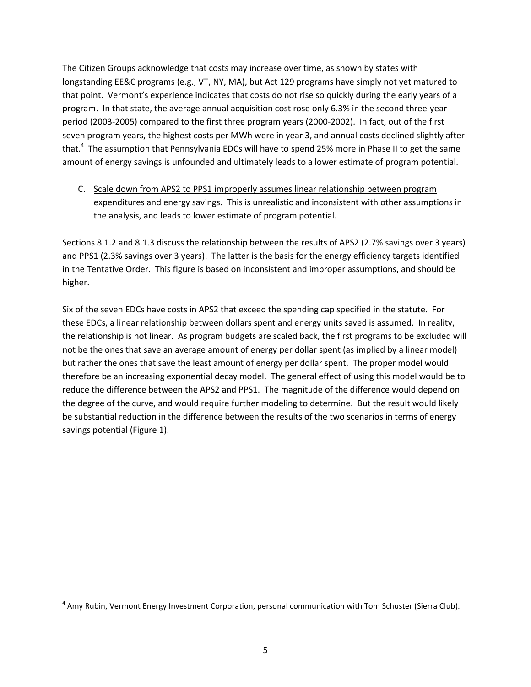The Citizen Groups acknowledge that costs may increase over time, as shown by states with longstanding EE&C programs (e.g., VT, NY, MA), but Act 129 programs have simply not yet matured to that point. Vermont's experience indicates that costs do not rise so quickly during the early years of a program. In that state, the average annual acquisition cost rose only 6.3% in the second three-year period (2003-2005) compared to the first three program years (2000-2002). In fact, out of the first seven program years, the highest costs per MWh were in year 3, and annual costs declined slightly after that.<sup>4</sup> The assumption that Pennsylvania EDCs will have to spend 25% more in Phase II to get the same amount of energy savings is unfounded and ultimately leads to a lower estimate of program potential.

# C. Scale down from APS2 to PPS1 improperly assumes linear relationship between program expenditures and energy savings. This is unrealistic and inconsistent with other assumptions in the analysis, and leads to lower estimate of program potential.

Sections 8.1.2 and 8.1.3 discuss the relationship between the results of APS2 (2.7% savings over 3 years) and PPS1 (2.3% savings over 3 years). The latter is the basis for the energy efficiency targets identified in the Tentative Order. This figure is based on inconsistent and improper assumptions, and should be higher.

Six of the seven EDCs have costs in APS2 that exceed the spending cap specified in the statute. For these EDCs, a linear relationship between dollars spent and energy units saved is assumed. In reality, the relationship is not linear. As program budgets are scaled back, the first programs to be excluded will not be the ones that save an average amount of energy per dollar spent (as implied by a linear model) but rather the ones that save the least amount of energy per dollar spent. The proper model would therefore be an increasing exponential decay model. The general effect of using this model would be to reduce the difference between the APS2 and PPS1. The magnitude of the difference would depend on the degree of the curve, and would require further modeling to determine. But the result would likely be substantial reduction in the difference between the results of the two scenarios in terms of energy savings potential (Figure 1).

<sup>&</sup>lt;sup>4</sup> Amy Rubin, Vermont Energy Investment Corporation, personal communication with Tom Schuster (Sierra Club).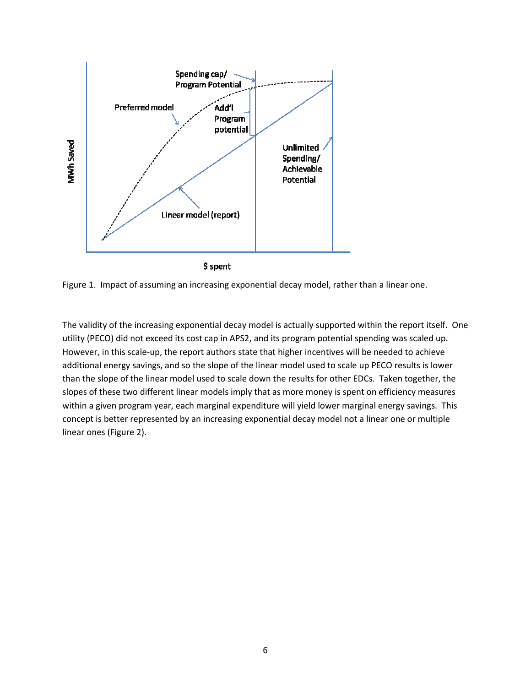

Figure 1. Impact of assuming an increasing exponential decay model, rather than a linear one.

The validity of the increasing exponential decay model is actually supported within the report itself. One utility (PECO) did not exceed its cost cap in APS2, and its program potential spending was scaled up. However, in this scale-up, the report authors state that higher incentives will be needed to achieve additional energy savings, and so the slope of the linear model used to scale up PECO results is lower than the slope of the linear model used to scale down the results for other EDCs. Taken together, the slopes of these two different linear models imply that as more money is spent on efficiency measures within a given program year, each marginal expenditure will yield lower marginal energy savings. This concept is better represented by an increasing exponential decay model not a linear one or multiple linear ones (Figure 2).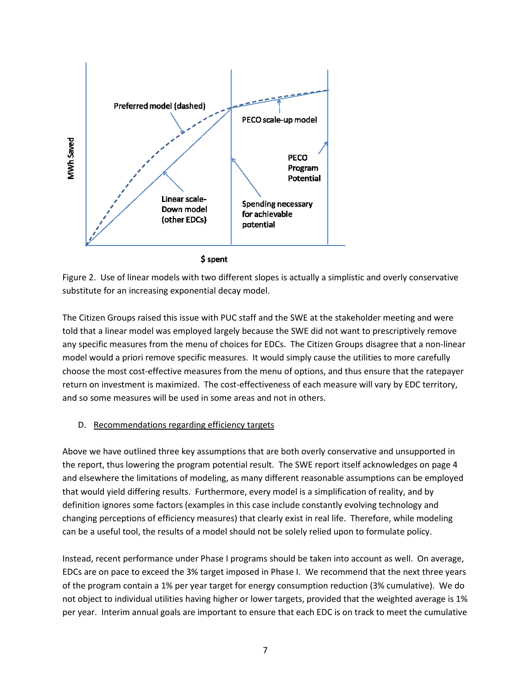

**S** spent

Figure 2. Use of linear models with two different slopes is actually a simplistic and overly conservative substitute for an increasing exponential decay model.

The Citizen Groups raised this issue with PUC staff and the SWE at the stakeholder meeting and were told that a linear model was employed largely because the SWE did not want to prescriptively remove any specific measures from the menu of choices for EDCs. The Citizen Groups disagree that a non-linear model would a priori remove specific measures. It would simply cause the utilities to more carefully choose the most cost-effective measures from the menu of options, and thus ensure that the ratepayer return on investment is maximized. The cost-effectiveness of each measure will vary by EDC territory, and so some measures will be used in some areas and not in others.

### D. Recommendations regarding efficiency targets

Above we have outlined three key assumptions that are both overly conservative and unsupported in the report, thus lowering the program potential result. The SWE report itself acknowledges on page 4 and elsewhere the limitations of modeling, as many different reasonable assumptions can be employed that would yield differing results. Furthermore, every model is a simplification of reality, and by definition ignores some factors (examples in this case include constantly evolving technology and changing perceptions of efficiency measures) that clearly exist in real life. Therefore, while modeling can be a useful tool, the results of a model should not be solely relied upon to formulate policy.

Instead, recent performance under Phase I programs should be taken into account as well. On average, EDCs are on pace to exceed the 3% target imposed in Phase I. We recommend that the next three years of the program contain a 1% per year target for energy consumption reduction (3% cumulative). We do not object to individual utilities having higher or lower targets, provided that the weighted average is 1% per year. Interim annual goals are important to ensure that each EDC is on track to meet the cumulative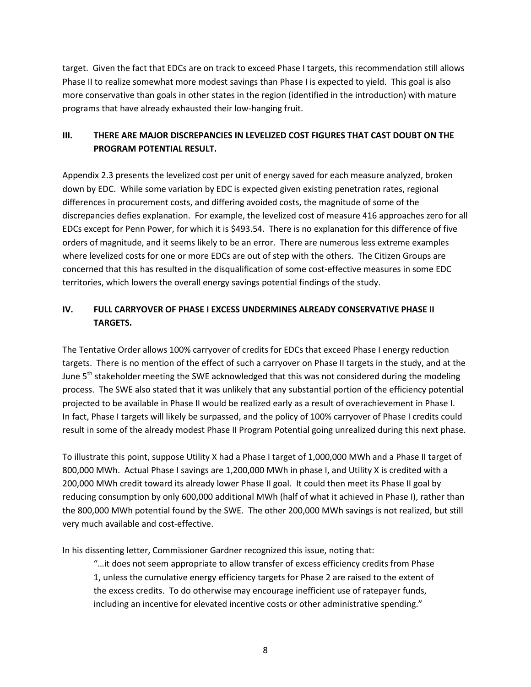target. Given the fact that EDCs are on track to exceed Phase I targets, this recommendation still allows Phase II to realize somewhat more modest savings than Phase I is expected to yield. This goal is also more conservative than goals in other states in the region (identified in the introduction) with mature programs that have already exhausted their low-hanging fruit.

## III. THERE ARE MAJOR DISCREPANCIES IN LEVELIZED COST FIGURES THAT CAST DOUBT ON THE PROGRAM POTENTIAL RESULT.

Appendix 2.3 presents the levelized cost per unit of energy saved for each measure analyzed, broken down by EDC. While some variation by EDC is expected given existing penetration rates, regional differences in procurement costs, and differing avoided costs, the magnitude of some of the discrepancies defies explanation. For example, the levelized cost of measure 416 approaches zero for all EDCs except for Penn Power, for which it is \$493.54. There is no explanation for this difference of five orders of magnitude, and it seems likely to be an error. There are numerous less extreme examples where levelized costs for one or more EDCs are out of step with the others. The Citizen Groups are concerned that this has resulted in the disqualification of some cost-effective measures in some EDC territories, which lowers the overall energy savings potential findings of the study.

# IV. FULL CARRYOVER OF PHASE I EXCESS UNDERMINES ALREADY CONSERVATIVE PHASE II TARGETS.

The Tentative Order allows 100% carryover of credits for EDCs that exceed Phase I energy reduction targets. There is no mention of the effect of such a carryover on Phase II targets in the study, and at the June  $5<sup>th</sup>$  stakeholder meeting the SWE acknowledged that this was not considered during the modeling process. The SWE also stated that it was unlikely that any substantial portion of the efficiency potential projected to be available in Phase II would be realized early as a result of overachievement in Phase I. In fact, Phase I targets will likely be surpassed, and the policy of 100% carryover of Phase I credits could result in some of the already modest Phase II Program Potential going unrealized during this next phase.

To illustrate this point, suppose Utility X had a Phase I target of 1,000,000 MWh and a Phase II target of 800,000 MWh. Actual Phase I savings are 1,200,000 MWh in phase I, and Utility X is credited with a 200,000 MWh credit toward its already lower Phase II goal. It could then meet its Phase II goal by reducing consumption by only 600,000 additional MWh (half of what it achieved in Phase I), rather than the 800,000 MWh potential found by the SWE. The other 200,000 MWh savings is not realized, but still very much available and cost-effective.

In his dissenting letter, Commissioner Gardner recognized this issue, noting that:

"…it does not seem appropriate to allow transfer of excess efficiency credits from Phase 1, unless the cumulative energy efficiency targets for Phase 2 are raised to the extent of the excess credits. To do otherwise may encourage inefficient use of ratepayer funds, including an incentive for elevated incentive costs or other administrative spending."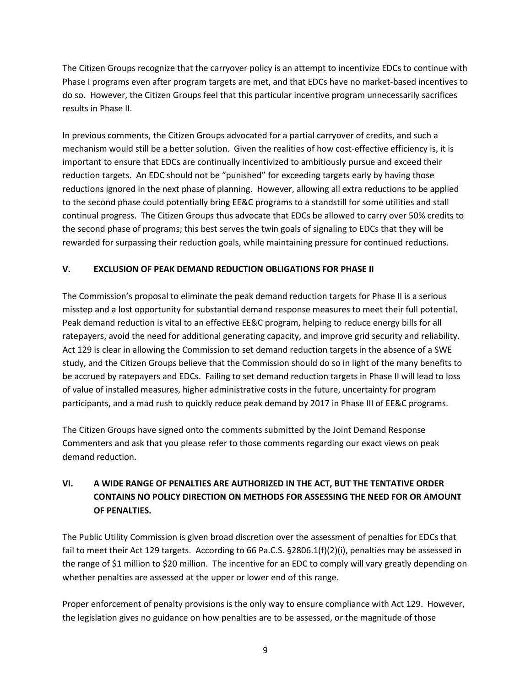The Citizen Groups recognize that the carryover policy is an attempt to incentivize EDCs to continue with Phase I programs even after program targets are met, and that EDCs have no market-based incentives to do so. However, the Citizen Groups feel that this particular incentive program unnecessarily sacrifices results in Phase II.

In previous comments, the Citizen Groups advocated for a partial carryover of credits, and such a mechanism would still be a better solution. Given the realities of how cost-effective efficiency is, it is important to ensure that EDCs are continually incentivized to ambitiously pursue and exceed their reduction targets. An EDC should not be "punished" for exceeding targets early by having those reductions ignored in the next phase of planning. However, allowing all extra reductions to be applied to the second phase could potentially bring EE&C programs to a standstill for some utilities and stall continual progress. The Citizen Groups thus advocate that EDCs be allowed to carry over 50% credits to the second phase of programs; this best serves the twin goals of signaling to EDCs that they will be rewarded for surpassing their reduction goals, while maintaining pressure for continued reductions.

## V. EXCLUSION OF PEAK DEMAND REDUCTION OBLIGATIONS FOR PHASE II

The Commission's proposal to eliminate the peak demand reduction targets for Phase II is a serious misstep and a lost opportunity for substantial demand response measures to meet their full potential. Peak demand reduction is vital to an effective EE&C program, helping to reduce energy bills for all ratepayers, avoid the need for additional generating capacity, and improve grid security and reliability. Act 129 is clear in allowing the Commission to set demand reduction targets in the absence of a SWE study, and the Citizen Groups believe that the Commission should do so in light of the many benefits to be accrued by ratepayers and EDCs. Failing to set demand reduction targets in Phase II will lead to loss of value of installed measures, higher administrative costs in the future, uncertainty for program participants, and a mad rush to quickly reduce peak demand by 2017 in Phase III of EE&C programs.

The Citizen Groups have signed onto the comments submitted by the Joint Demand Response Commenters and ask that you please refer to those comments regarding our exact views on peak demand reduction.

# VI. A WIDE RANGE OF PENALTIES ARE AUTHORIZED IN THE ACT, BUT THE TENTATIVE ORDER CONTAINS NO POLICY DIRECTION ON METHODS FOR ASSESSING THE NEED FOR OR AMOUNT OF PENALTIES.

The Public Utility Commission is given broad discretion over the assessment of penalties for EDCs that fail to meet their Act 129 targets. According to 66 Pa.C.S. §2806.1(f)(2)(i), penalties may be assessed in the range of \$1 million to \$20 million. The incentive for an EDC to comply will vary greatly depending on whether penalties are assessed at the upper or lower end of this range.

Proper enforcement of penalty provisions is the only way to ensure compliance with Act 129. However, the legislation gives no guidance on how penalties are to be assessed, or the magnitude of those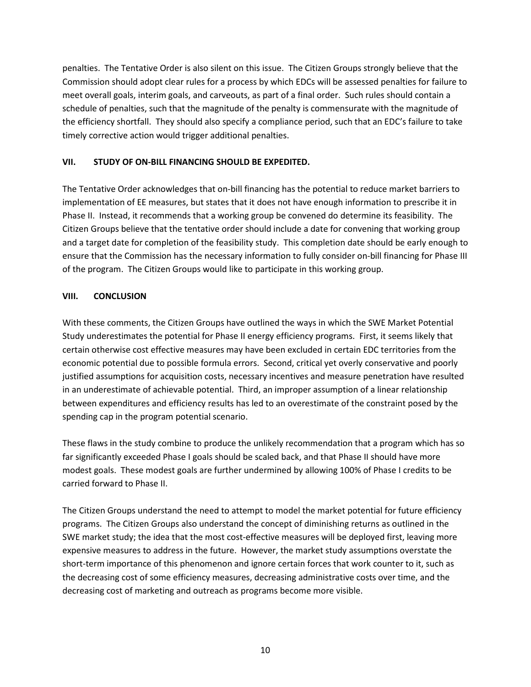penalties. The Tentative Order is also silent on this issue. The Citizen Groups strongly believe that the Commission should adopt clear rules for a process by which EDCs will be assessed penalties for failure to meet overall goals, interim goals, and carveouts, as part of a final order. Such rules should contain a schedule of penalties, such that the magnitude of the penalty is commensurate with the magnitude of the efficiency shortfall. They should also specify a compliance period, such that an EDC's failure to take timely corrective action would trigger additional penalties.

## VII. STUDY OF ON-BILL FINANCING SHOULD BE EXPEDITED.

The Tentative Order acknowledges that on-bill financing has the potential to reduce market barriers to implementation of EE measures, but states that it does not have enough information to prescribe it in Phase II. Instead, it recommends that a working group be convened do determine its feasibility. The Citizen Groups believe that the tentative order should include a date for convening that working group and a target date for completion of the feasibility study. This completion date should be early enough to ensure that the Commission has the necessary information to fully consider on-bill financing for Phase III of the program. The Citizen Groups would like to participate in this working group.

## VIII. CONCLUSION

With these comments, the Citizen Groups have outlined the ways in which the SWE Market Potential Study underestimates the potential for Phase II energy efficiency programs. First, it seems likely that certain otherwise cost effective measures may have been excluded in certain EDC territories from the economic potential due to possible formula errors. Second, critical yet overly conservative and poorly justified assumptions for acquisition costs, necessary incentives and measure penetration have resulted in an underestimate of achievable potential. Third, an improper assumption of a linear relationship between expenditures and efficiency results has led to an overestimate of the constraint posed by the spending cap in the program potential scenario.

These flaws in the study combine to produce the unlikely recommendation that a program which has so far significantly exceeded Phase I goals should be scaled back, and that Phase II should have more modest goals. These modest goals are further undermined by allowing 100% of Phase I credits to be carried forward to Phase II.

The Citizen Groups understand the need to attempt to model the market potential for future efficiency programs. The Citizen Groups also understand the concept of diminishing returns as outlined in the SWE market study; the idea that the most cost-effective measures will be deployed first, leaving more expensive measures to address in the future. However, the market study assumptions overstate the short-term importance of this phenomenon and ignore certain forces that work counter to it, such as the decreasing cost of some efficiency measures, decreasing administrative costs over time, and the decreasing cost of marketing and outreach as programs become more visible.